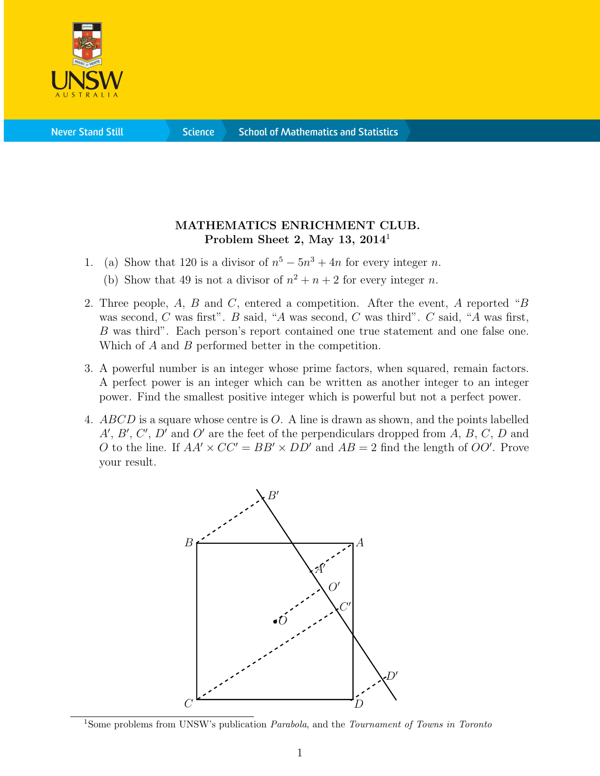

**Science** 

## MATHEMATICS ENRICHMENT CLUB. Problem Sheet 2, May 13,  $2014<sup>1</sup>$

- 1. (a) Show that 120 is a divisor of  $n^5 5n^3 + 4n$  for every integer n.
	- (b) Show that 49 is not a divisor of  $n^2 + n + 2$  for every integer n.
- 2. Three people, A, B and C, entered a competition. After the event, A reported "B was second, C was first". B said, "A was second, C was third". C said, "A was first, B was third". Each person's report contained one true statement and one false one. Which of A and B performed better in the competition.
- 3. A powerful number is an integer whose prime factors, when squared, remain factors. A perfect power is an integer which can be written as another integer to an integer power. Find the smallest positive integer which is powerful but not a perfect power.
- 4. ABCD is a square whose centre is O. A line is drawn as shown, and the points labelled  $A', B', C', D'$  and O' are the feet of the perpendiculars dropped from A, B, C, D and O to the line. If  $AA' \times CC' = BB' \times DD'$  and  $AB = 2$  find the length of OO'. Prove your result.



<sup>&</sup>lt;sup>1</sup>Some problems from UNSW's publication *Parabola*, and the *Tournament of Towns in Toronto*